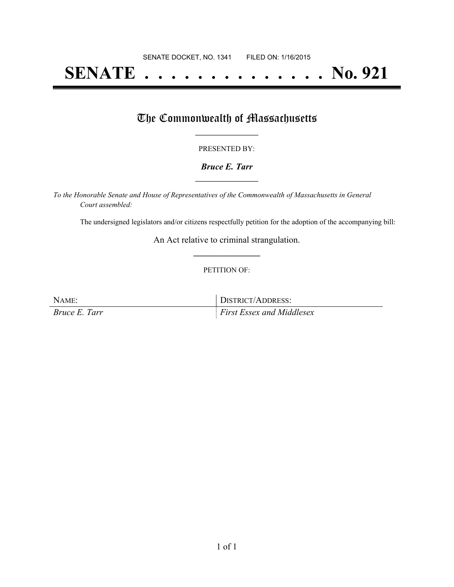# **SENATE . . . . . . . . . . . . . . No. 921**

## The Commonwealth of Massachusetts

#### PRESENTED BY:

#### *Bruce E. Tarr* **\_\_\_\_\_\_\_\_\_\_\_\_\_\_\_\_\_**

*To the Honorable Senate and House of Representatives of the Commonwealth of Massachusetts in General Court assembled:*

The undersigned legislators and/or citizens respectfully petition for the adoption of the accompanying bill:

An Act relative to criminal strangulation. **\_\_\_\_\_\_\_\_\_\_\_\_\_\_\_**

#### PETITION OF:

NAME: DISTRICT/ADDRESS: *Bruce E. Tarr First Essex and Middlesex*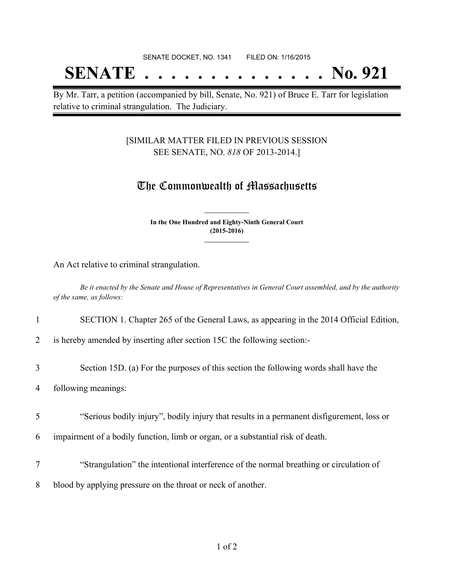## SENATE DOCKET, NO. 1341 FILED ON: 1/16/2015 **SENATE . . . . . . . . . . . . . . No. 921**

By Mr. Tarr, a petition (accompanied by bill, Senate, No. 921) of Bruce E. Tarr for legislation relative to criminal strangulation. The Judiciary.

### [SIMILAR MATTER FILED IN PREVIOUS SESSION SEE SENATE, NO. *818* OF 2013-2014.]

## The Commonwealth of Massachusetts

**In the One Hundred and Eighty-Ninth General Court (2015-2016) \_\_\_\_\_\_\_\_\_\_\_\_\_\_\_**

**\_\_\_\_\_\_\_\_\_\_\_\_\_\_\_**

An Act relative to criminal strangulation.

Be it enacted by the Senate and House of Representatives in General Court assembled, and by the authority *of the same, as follows:*

1 SECTION 1. Chapter 265 of the General Laws, as appearing in the 2014 Official Edition,

2 is hereby amended by inserting after section 15C the following section:-

3 Section 15D. (a) For the purposes of this section the following words shall have the

4 following meanings:

- 5 "Serious bodily injury", bodily injury that results in a permanent disfigurement, loss or
- 6 impairment of a bodily function, limb or organ, or a substantial risk of death.
- 7 "Strangulation" the intentional interference of the normal breathing or circulation of
- 8 blood by applying pressure on the throat or neck of another.